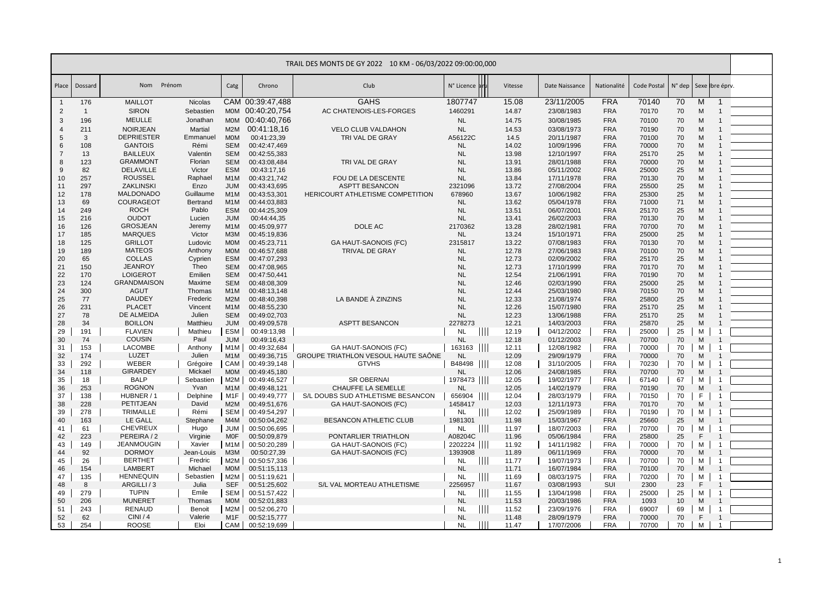|                |                |                             |                  |                                |                              | TRAIL DES MONTS DE GY 2022 10 KM - 06/03/2022 09:00:00,000 |                      |               |                |                          |                          |                |          |                  |                |  |
|----------------|----------------|-----------------------------|------------------|--------------------------------|------------------------------|------------------------------------------------------------|----------------------|---------------|----------------|--------------------------|--------------------------|----------------|----------|------------------|----------------|--|
| Place          | Dossard        | Nom Prénom                  |                  | Catg                           | Chrono                       | Club                                                       | N° Licence           |               | Vitesse        | Date Naissance           | Nationalité              | Code Postal    | N° dep   |                  | Sexe bre éprv. |  |
| $\overline{1}$ | 176            | <b>MAILLOT</b>              | Nicolas          |                                | CAM 00:39:47.488             | <b>GAHS</b>                                                | 1807747              |               | 15.08          | 23/11/2005               | <b>FRA</b>               | 70140          | 70       | M                | -1             |  |
| $\overline{2}$ | $\overline{1}$ | <b>SIRON</b>                | Sebastien        |                                | MOM 00:40:20,754             | AC CHATENOIS-LES-FORGES                                    | 1460291              |               | 14.87          | 23/08/1983               | <b>FRA</b>               | 70170          | 70       | M                |                |  |
| 3              | 196            | <b>MEULLE</b>               | Jonathan         | <b>MOM</b>                     | 00:40:40,766                 |                                                            | <b>NL</b>            |               | 14.75          | 30/08/1985               | <b>FRA</b>               | 70100          | 70       | M                |                |  |
| $\overline{4}$ | 211            | <b>NOIRJEAN</b>             | Martial          | M2M                            | 00:41:18.16                  | <b>VELO CLUB VALDAHON</b>                                  | <b>NL</b>            |               | 14.53          | 03/08/1973               | <b>FRA</b>               | 70190          | 70       | M                |                |  |
| 5              | $\mathbf{3}$   | <b>DEPRIESTER</b>           | Emmanuel         | <b>MOM</b>                     | 00:41:23,39                  | TRI VAL DE GRAY                                            | A56122C              |               | 14.5           | 20/11/1987               | <b>FRA</b>               | 70100          | 70       | M                |                |  |
| 6              | 108            | <b>GANTOIS</b>              | Rémi             | <b>SEM</b>                     | 00:42:47,469                 |                                                            | <b>NL</b>            |               | 14.02          | 10/09/1996               | <b>FRA</b>               | 70000          | 70       | M                |                |  |
| $\overline{7}$ | 13             | <b>BAILLEUX</b>             | Valentin         | <b>SEM</b>                     | 00:42:55,383                 |                                                            | <b>NL</b>            |               | 13.98          | 12/10/1997               | <b>FRA</b>               | 25170          | 25       | M                |                |  |
| 8              | 123            | <b>GRAMMONT</b>             | Florian          | <b>SEM</b>                     | 00:43:08,484                 | TRI VAL DE GRAY                                            | <b>NL</b>            |               | 13.91          | 28/01/1988               | <b>FRA</b>               | 70000          | 70       | M                |                |  |
| 9              | 82             | <b>DELAVILLE</b>            | Victor           | <b>ESM</b>                     | 00:43:17,16                  |                                                            | <b>NL</b>            |               | 13.86          | 05/11/2002               | <b>FRA</b>               | 25000          | 25       | M                |                |  |
| 10             | 257            | <b>ROUSSEL</b>              | Raphael          | M <sub>1</sub> M               | 00:43:21,742                 | FOU DE LA DESCENTE                                         | <b>NL</b>            |               | 13.84          | 17/11/1978               | <b>FRA</b>               | 70130          | 70       | M                |                |  |
| 11             | 297            | ZAKLINSKI                   | Enzo             | <b>JUM</b>                     | 00:43:43,695                 | <b>ASPTT BESANCON</b>                                      | 2321096              |               | 13.72          | 27/08/2004               | <b>FRA</b>               | 25500          | 25       | M                |                |  |
| 12             | 178            | <b>MALDONADO</b>            | Guillaume        | M <sub>1</sub> M               | 00:43:53,301                 | HERICOURT ATHLETISME COMPETITION                           | 678960               |               | 13.67          | 10/06/1982               | <b>FRA</b>               | 25300          | 25       | M                |                |  |
| 13             | 69             | <b>COURAGEOT</b>            | <b>Bertrand</b>  | M <sub>1</sub> M               | 00:44:03,883                 |                                                            | <b>NL</b>            |               | 13.62          | 05/04/1978               | <b>FRA</b>               | 71000          | 71       | M                |                |  |
| 14             | 249            | <b>ROCH</b><br><b>OUDOT</b> | Pablo            | <b>ESM</b>                     | 00:44:25,309                 |                                                            | <b>NL</b>            |               | 13.51          | 06/07/2001               | <b>FRA</b>               | 25170          | 25       | M                |                |  |
| 15<br>16       | 216<br>126     | <b>GROSJEAN</b>             | Lucien           | <b>JUM</b><br>M <sub>1</sub> M | 00:44:44,35<br>00:45:09,977  | DOLE AC                                                    | <b>NL</b><br>2170362 |               | 13.41<br>13.28 | 26/02/2003<br>28/02/1981 | <b>FRA</b><br><b>FRA</b> | 70130<br>70700 | 70<br>70 | M<br>M           |                |  |
| 17             | 185            | <b>MARQUES</b>              | Jeremy<br>Victor | M3M                            | 00:45:19,836                 |                                                            | <b>NL</b>            |               | 13.24          | 15/10/1971               | <b>FRA</b>               | 25000          | 25       | M                |                |  |
| 18             | 125            | <b>GRILLOT</b>              | Ludovic          | <b>MOM</b>                     | 00:45:23,711                 | <b>GA HAUT-SAONOIS (FC)</b>                                | 2315817              |               | 13.22          | 07/08/1983               | <b>FRA</b>               | 70130          | 70       | M                |                |  |
| 19             | 189            | <b>MATEOS</b>               | Anthony          | <b>MOM</b>                     | 00:46:57,688                 | <b>TRIVAL DE GRAY</b>                                      | <b>NL</b>            |               | 12.78          | 27/06/1983               | <b>FRA</b>               | 70100          | 70       | M                |                |  |
| 20             | 65             | <b>COLLAS</b>               | Cyprien          | <b>ESM</b>                     | 00:47:07,293                 |                                                            | <b>NL</b>            |               | 12.73          | 02/09/2002               | <b>FRA</b>               | 25170          | 25       | M                |                |  |
| 21             | 150            | <b>JEANROY</b>              | Theo             | <b>SEM</b>                     | 00:47:08,965                 |                                                            | <b>NL</b>            |               | 12.73          | 17/10/1999               | <b>FRA</b>               | 70170          | 70       | M                |                |  |
| 22             | 170            | <b>LOIGEROT</b>             | Emilien          | <b>SEM</b>                     | 00:47:50,441                 |                                                            | <b>NL</b>            |               | 12.54          | 21/06/1991               | <b>FRA</b>               | 70190          | 70       | M                |                |  |
| 23             | 124            | <b>GRANDMAISON</b>          | Maxime           | <b>SEM</b>                     | 00:48:08,309                 |                                                            | <b>NL</b>            |               | 12.46          | 02/03/1990               | <b>FRA</b>               | 25000          | 25       | M                |                |  |
| 24             | 300            | <b>AGUT</b>                 | Thomas           | M <sub>1</sub> M               | 00:48:13,148                 |                                                            | <b>NL</b>            |               | 12.44          | 25/03/1980               | <b>FRA</b>               | 70150          | 70       | M                |                |  |
| 25             | 77             | <b>DAUDEY</b>               | Frederic         | M2M                            | 00:48:40,398                 | LA BANDE À ZINZINS                                         | <b>NL</b>            |               | 12.33          | 21/08/1974               | <b>FRA</b>               | 25800          | 25       | M                |                |  |
| 26             | 231            | <b>PLACET</b>               | Vincent          | M <sub>1</sub> M               | 00:48:55,230                 |                                                            | <b>NL</b>            |               | 12.26          | 15/07/1980               | <b>FRA</b>               | 25170          | 25       | M                |                |  |
| 27             | 78             | DE ALMEIDA                  | Julien           | <b>SEM</b>                     | 00:49:02,703                 |                                                            | <b>NL</b>            |               | 12.23          | 13/06/1988               | <b>FRA</b>               | 25170          | 25       | M                |                |  |
| 28             | 34             | <b>BOILLON</b>              | Matthieu         | <b>JUM</b>                     | 00:49:09,578                 | <b>ASPTT BESANCON</b>                                      | 2278273              |               | 12.21          | 14/03/2003               | <b>FRA</b>               | 25870          | 25       | M                |                |  |
| 29             | 191            | <b>FLAVIEN</b>              | Mathieu          | <b>ESM</b>                     | 00:49:13,98                  |                                                            | <b>NL</b>            | $\mathbf{H}$  | 12.19          | 04/12/2002               | <b>FRA</b>               | 25000          | 25       | м                |                |  |
| 30             | 74             | <b>COUSIN</b>               | Paul             | <b>JUM</b>                     | 00:49:16,43                  |                                                            | <b>NL</b>            |               | 12.18          | 01/12/2003               | <b>FRA</b>               | 70700          | 70       | M                |                |  |
| 31             | 153            | LACOMBE                     | Anthony          | M <sub>1</sub> M               | 00:49:32,684                 | GA HAUT-SAONOIS (FC)                                       | 163163               |               | 12.11          | 12/08/1982               | <b>FRA</b>               | 70000          | 70       | M                |                |  |
| 32             | 174            | LUZET                       | Julien           | M <sub>1</sub> M               | 00:49:36,715                 | GROUPE TRIATHLON VESOUL HAUTE SAÔNE                        | <b>NL</b>            |               | 12.09          | 29/09/1979               | <b>FRA</b>               | 70000          | 70       | M                |                |  |
| 33             | 292            | WEBER                       | Grégoire         | <b>CAM</b>                     | 00:49:39,148                 | <b>GTVHS</b>                                               | B48498               |               | 12.08          | 31/10/2005               | <b>FRA</b>               | 70230          | 70       | м                |                |  |
| 34             | 118            | <b>GIRARDEY</b>             | Mickael          | <b>MOM</b>                     | 00:49:45,180                 |                                                            | <b>NL</b>            |               | 12.06          | 24/08/1985               | <b>FRA</b>               | 70700          | 70       | M                |                |  |
| 35             | 18             | <b>BALP</b>                 | Sebastien        | M2M                            | 00:49:46,527                 | <b>SR OBERNAI</b>                                          | 1978473              |               | 12.05          | 19/02/1977               | <b>FRA</b>               | 67140          | 67       | M                |                |  |
| 36<br>37       | 253<br>138     | <b>ROGNON</b><br>HUBNER / 1 | Yvan<br>Delphine | M <sub>1</sub> M<br>M1F        | 00:49:48,121<br>00:49:49,777 | CHAUFFE LA SEMELLE<br>S/L DOUBS SUD ATHLETISME BESANCON    | <b>NL</b><br>656904  |               | 12.05<br>12.04 | 14/02/1979<br>28/03/1979 | <b>FRA</b><br><b>FRA</b> | 70190          | 70<br>70 | M<br>$\mathsf F$ | -1             |  |
| 38             | 228            | PETITJEAN                   | David            | M2M                            | 00:49:51,676                 | <b>GA HAUT-SAONOIS (FC)</b>                                | 1458417              |               | 12.03          | 12/11/1973               | <b>FRA</b>               | 70150<br>70170 | 70       | M                |                |  |
| 39             | 278            | <b>TRIMAILLE</b>            | Rémi             | <b>SEM</b>                     | 00:49:54,297                 |                                                            | <b>NL</b>            | TII           | 12.02          | 25/09/1989               | <b>FRA</b>               | 70190          | 70       | M                |                |  |
| 40             | 163            | LE GALL                     | Stephane         | M4M                            | 00:50:04,262                 | BESANCON ATHLETIC CLUB                                     | 1981301              |               | 11.98          | 15/03/1967               | <b>FRA</b>               | 25660          | 25       | M                |                |  |
| 41             | 61             | <b>CHEVREUX</b>             | Hugo             | <b>JUM</b>                     | 00:50:06,695                 |                                                            | NL                   | $\mathbb{H}$  | 11.97          | 18/07/2003               | <b>FRA</b>               | 70700          | 70       | M                |                |  |
| 42             | 223            | PEREIRA/2                   | Virginie         | <b>MOF</b>                     | 00:50:09.879                 | PONTARLIER TRIATHLON                                       | A08204C              |               | 11.96          | 05/06/1984               | <b>FRA</b>               | 25800          | 25       | F                |                |  |
| 43             | 149            | <b>JEANMOUGIN</b>           | Xavier           | M <sub>1</sub> M               | 00:50:20,289                 | <b>GA HAUT-SAONOIS (FC)</b>                                | 2202224              |               | 11.92          | 14/11/1982               | <b>FRA</b>               | 70000          | 70       | M                | $\overline{1}$ |  |
| 44             | 92             | <b>DORMOY</b>               | Jean-Louis       | M3M                            | 00:50:27,39                  | <b>GA HAUT-SAONOIS (FC)</b>                                | 1393908              |               | 11.89          | 06/11/1969               | <b>FRA</b>               | 70000          | 70       | M                | $\overline{1}$ |  |
| 45             | 26             | <b>BERTHET</b>              | Fredric          | M2M                            | 00:50:57,336                 |                                                            | <b>NL</b>            | $\mathbf{H}$  | 11.77          | 19/07/1973               | <b>FRA</b>               | 70700          | 70       | M                | $\overline{1}$ |  |
| 46             | 154            | <b>LAMBERT</b>              | Michael          | <b>MOM</b>                     | 00:51:15,113                 |                                                            | <b>NL</b>            |               | 11.71          | 16/07/1984               | <b>FRA</b>               | 70100          | 70       | M                | $\mathbf{1}$   |  |
| 47             | 135            | <b>HENNEQUIN</b>            | Sebastien        | M2M                            | 00:51:19,621                 |                                                            | <b>NL</b>            | $\mathbb{H}$  | 11.69          | 08/03/1975               | <b>FRA</b>               | 70200          | 70       | M                | $\overline{1}$ |  |
| 48             | 8              | ARGILLI/3                   | Julia            | <b>SEF</b>                     | 00:51:25,602                 | S/L VAL MORTEAU ATHLETISME                                 | 2256957              |               | 11.67          | 03/08/1993               | SUI                      | 2300           | 23       | E                |                |  |
| 49             | 279            | <b>TUPIN</b>                | Emile            | SEM                            | 00:51:57,422                 |                                                            | <b>NL</b>            | ШI            | 11.55          | 13/04/1998               | <b>FRA</b>               | 25000          | 25       | M                |                |  |
| 50             | 206            | <b>MUNERET</b>              | Thomas           | <b>MOM</b>                     | 00:52:01,883                 |                                                            | <b>NL</b>            |               | 11.53          | 20/03/1986               | <b>FRA</b>               | 1093           | 10       | M                | $\mathbf{1}$   |  |
| 51             | 243            | <b>RENAUD</b>               | Benoit           | M2M                            | 00:52:06,270                 |                                                            | <b>NL</b>            | $\frac{1}{2}$ | 11.52          | 23/09/1976               | <b>FRA</b>               | 69007          | 69       | M                | 1              |  |
| 52             | 62             | CINI/4                      | Valerie          | M <sub>1</sub> F               | 00:52:15,777                 |                                                            | <b>NL</b>            |               | 11.48          | 28/09/1979               | <b>FRA</b>               | 70000          | 70       | F                | $\overline{1}$ |  |
| 53             | 254            | <b>ROOSE</b>                | Eloi             | CAM                            | 00:52:19,699                 |                                                            | <b>NL</b>            |               | 11.47          | 17/07/2006               | <b>FRA</b>               | 70700          | 70       | M                | $\overline{1}$ |  |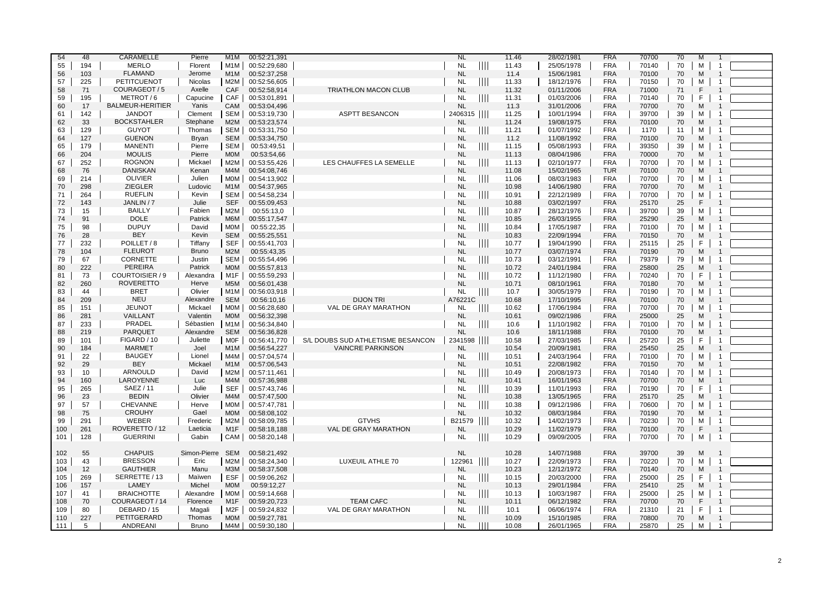| 54  | 48  | <b>CARAMELLE</b>        | Pierre           | M <sub>1</sub> M | 00:52:21,391 |                                   | <b>NL</b> |                | 11.46 | 28/02/1981 | <b>FRA</b> | 70700 | 70 | M            | $\overline{1}$ |  |
|-----|-----|-------------------------|------------------|------------------|--------------|-----------------------------------|-----------|----------------|-------|------------|------------|-------|----|--------------|----------------|--|
|     |     |                         |                  |                  |              |                                   |           |                |       |            |            |       |    |              |                |  |
| 55  | 194 | <b>MERLO</b>            | Florent          | M1M              | 00:52:29,680 |                                   | <b>NL</b> | Ш              | 11.43 | 25/05/1978 | <b>FRA</b> | 70140 | 70 | м            | $\overline{1}$ |  |
| 56  | 103 | <b>FLAMAND</b>          | Jerome           | M <sub>1</sub> M | 00:52:37,258 |                                   | <b>NL</b> |                | 11.4  | 15/06/1981 | <b>FRA</b> | 70100 | 70 | M            | -1             |  |
| 57  | 225 | <b>PETITCUENOT</b>      | <b>Nicolas</b>   | M2M              | 00:52:56,605 |                                   | <b>NL</b> | $\  \ \ $      | 11.33 | 18/12/1976 | <b>FRA</b> | 70150 | 70 | М            | $\mathbf{1}$   |  |
| 58  | 71  | COURAGEOT / 5           | Axelle           | CAF              | 00:52:58,914 | <b>TRIATHLON MACON CLUB</b>       | <b>NL</b> |                | 11.32 | 01/11/2006 | <b>FRA</b> | 71000 | 71 | $\mathsf{F}$ |                |  |
| 59  | 195 | METROT/6                | Capucine         | CAF              | 00:53:01,891 |                                   | <b>NL</b> | $\mathbb{H}$   | 11.31 | 01/03/2006 | <b>FRA</b> | 70140 | 70 | F            | $\overline{1}$ |  |
| 60  | 17  | <b>BALMEUR-HERITIER</b> | Yanis            | CAM              | 00:53:04,496 |                                   | <b>NL</b> |                | 11.3  | 31/01/2006 | <b>FRA</b> | 70700 | 70 | M            |                |  |
|     |     |                         |                  |                  |              |                                   |           |                |       |            |            |       |    |              |                |  |
| 61  | 142 | <b>JANDOT</b>           | Clement          | <b>SEM</b>       | 00:53:19,730 | <b>ASPTT BESANCON</b>             | 2406315   |                | 11.25 | 10/01/1994 | <b>FRA</b> | 39700 | 39 | м            | $\overline{1}$ |  |
| 62  | 33  | <b>BOCKSTAHLER</b>      | Stephane         | M2M              | 00:53:23,574 |                                   | <b>NL</b> |                | 11.24 | 19/08/1975 | <b>FRA</b> | 70100 | 70 | M            | $\overline{1}$ |  |
| 63  | 129 | <b>GUYOT</b>            | Thomas           | <b>SEM</b>       | 00:53:31,750 |                                   | <b>NL</b> | $\mathbb{H}$   | 11.21 | 01/07/1992 | <b>FRA</b> | 1170  | 11 | М            | $\overline{1}$ |  |
| 64  | 127 | <b>GUENON</b>           | Bryan            | <b>SEM</b>       | 00:53:34,750 |                                   | <b>NL</b> |                | 11.2  | 11/08/1992 | <b>FRA</b> | 70100 | 70 | M            |                |  |
| 65  | 179 | <b>MANENTI</b>          | Pierre           | SEM              | 00:53:49,51  |                                   | <b>NL</b> | $\  \cdot \ $  | 11.15 | 05/08/1993 | <b>FRA</b> | 39350 | 39 | м            |                |  |
| 66  | 204 | <b>MOULIS</b>           | Pierre           | <b>MOM</b>       | 00:53:54,66  |                                   | <b>NL</b> |                | 11.13 | 08/04/1986 | <b>FRA</b> | 70000 | 70 | M            |                |  |
| 67  | 252 | <b>ROGNON</b>           | Mickael          | M2M              | 00:53:55,426 | LES CHAUFFES LA SEMELLE           | <b>NL</b> | $\mathbf{III}$ | 11.13 | 02/10/1977 | <b>FRA</b> | 70700 | 70 | M            |                |  |
|     |     |                         |                  |                  |              |                                   |           |                |       |            |            |       |    |              |                |  |
| 68  | 76  | <b>DANISKAN</b>         | Kenan            | M <sub>4</sub> M | 00:54:08,746 |                                   | <b>NL</b> |                | 11.08 | 15/02/1965 | <b>TUR</b> | 70100 | 70 | M            |                |  |
| 69  | 214 | <b>OLIVIER</b>          | Julien           | MOM              | 00:54:13,902 |                                   | <b>NL</b> |                | 11.06 | 08/03/1983 | <b>FRA</b> | 70700 | 70 | м            | -1             |  |
| 70  | 298 | <b>ZIEGLER</b>          | Ludovic          | M <sub>1</sub> M | 00:54:37.965 |                                   | <b>NL</b> |                | 10.98 | 14/06/1980 | <b>FRA</b> | 70700 | 70 | M            |                |  |
| 71  | 264 | <b>RUEFLIN</b>          | Kevin            | <b>SEM</b>       | 00:54:58,234 |                                   | <b>NL</b> | $\mathbb{H}$   | 10.91 | 22/12/1989 | <b>FRA</b> | 70700 | 70 | М            | $\overline{1}$ |  |
| 72  | 143 | JANLIN / 7              | Julie            | <b>SEF</b>       | 00:55:09,453 |                                   | <b>NL</b> |                | 10.88 | 03/02/1997 | <b>FRA</b> | 25170 | 25 | E            |                |  |
| 73  | 15  | <b>BAILLY</b>           | Fabien           | M2M              | 00:55:13,0   |                                   | <b>NL</b> | $\mathbb{H}$   | 10.87 | 28/12/1976 | <b>FRA</b> | 39700 | 39 | М            | $\overline{1}$ |  |
| 74  | 91  | <b>DOLE</b>             | Patrick          | M6M              | 00:55:17,547 |                                   | <b>NL</b> |                | 10.85 | 26/03/1955 | <b>FRA</b> | 25290 | 25 | M            |                |  |
|     | 98  | <b>DUPUY</b>            | David            | MOM              | 00:55:22,35  |                                   | <b>NL</b> | $\mathbb{H}$   |       |            | <b>FRA</b> |       | 70 | М            | $\overline{1}$ |  |
| 75  |     |                         |                  |                  |              |                                   |           |                | 10.84 | 17/05/1987 |            | 70100 |    |              |                |  |
| 76  | 28  | <b>BEY</b>              | Kevin            | <b>SEM</b>       | 00:55:25.551 |                                   | <b>NL</b> |                | 10.83 | 22/09/1994 | <b>FRA</b> | 70150 | 70 | M            |                |  |
| 77  | 232 | POILLET/8               | Tiffany          | <b>SEF</b>       | 00:55:41,703 |                                   | <b>NL</b> |                | 10.77 | 19/04/1990 | <b>FRA</b> | 25115 | 25 | F            | $\overline{1}$ |  |
| 78  | 104 | <b>FLEUROT</b>          | <b>Bruno</b>     | M2M              | 00:55:43,35  |                                   | <b>NL</b> |                | 10.77 | 03/07/1974 | <b>FRA</b> | 70190 | 70 | M            | $\overline{1}$ |  |
| 79  | 67  | <b>CORNETTE</b>         | Justin           | <b>SEM</b>       | 00:55:54,496 |                                   | <b>NL</b> | $\mathbb{H}$   | 10.73 | 03/12/1991 | <b>FRA</b> | 79379 | 79 | M            | $\overline{1}$ |  |
| 80  | 222 | <b>PEREIRA</b>          | Patrick          | <b>MOM</b>       | 00:55:57,813 |                                   | <b>NL</b> |                | 10.72 | 24/01/1984 | <b>FRA</b> | 25800 | 25 | M            |                |  |
| 81  | 73  | COURTOISIER / 9         | Alexandra        | M1F              | 00:55:59,293 |                                   | <b>NL</b> |                | 10.72 | 11/12/1980 | <b>FRA</b> | 70240 | 70 | F            |                |  |
| 82  | 260 | <b>ROVERETTO</b>        | Herve            | M <sub>5</sub> M | 00:56:01,438 |                                   | <b>NL</b> |                | 10.71 | 08/10/1961 | <b>FRA</b> | 70180 | 70 | M            |                |  |
| 83  | 44  | <b>BRET</b>             | Olivier          | M1M              | 00:56:03,918 |                                   | <b>NL</b> |                | 10.7  | 30/05/1979 | <b>FRA</b> | 70190 | 70 | M            | $\overline{1}$ |  |
| 84  | 209 | <b>NEU</b>              | Alexandre        | <b>SEM</b>       | 00:56:10,16  | <b>DIJON TRI</b>                  | A76221C   |                | 10.68 | 17/10/1995 | <b>FRA</b> | 70100 | 70 | M            |                |  |
|     |     | <b>JEUNOT</b>           | Mickael          | <b>MOM</b>       |              |                                   | <b>NL</b> |                |       |            | <b>FRA</b> |       |    | M            | $\overline{1}$ |  |
| 85  | 151 |                         |                  |                  | 00:56:28,680 | VAL DE GRAY MARATHON              |           | $\mathbb{H}$   | 10.62 | 17/06/1984 |            | 70700 | 70 |              |                |  |
| 86  | 281 | VAILLANT                | Valentin         | <b>MOM</b>       | 00:56:32,398 |                                   | <b>NL</b> |                | 10.61 | 09/02/1986 | <b>FRA</b> | 25000 | 25 | M            | $\overline{1}$ |  |
| 87  | 233 | PRADEL                  | Sébastien        | M1M              | 00:56:34,840 |                                   | <b>NL</b> | $\mathbf{H}$   | 10.6  | 11/10/1982 | <b>FRA</b> | 70100 | 70 | м            | $\overline{1}$ |  |
| 88  | 219 | <b>PARQUET</b>          | Alexandre        | <b>SEM</b>       | 00:56:36.828 |                                   | <b>NL</b> |                | 10.6  | 18/11/1988 | <b>FRA</b> | 70100 | 70 | M            |                |  |
| 89  | 101 | FIGARD / 10             | Juliette         | MOF              | 00:56:41,770 | S/L DOUBS SUD ATHLETISME BESANCON | 2341598   |                | 10.58 | 27/03/1985 | <b>FRA</b> | 25720 | 25 | F            | $\mathbf{1}$   |  |
| 90  | 184 | <b>MARMET</b>           | Joel             | M <sub>1</sub> M | 00:56:54,227 | <b>VAINCRE PARKINSON</b>          | <b>NL</b> |                | 10.54 | 20/09/1981 | <b>FRA</b> | 25450 | 25 | M            | $\overline{1}$ |  |
| 91  | 22  | <b>BAUGEY</b>           | Lionel           | M4M              | 00:57:04,574 |                                   | <b>NL</b> | Ш              | 10.51 | 24/03/1964 | <b>FRA</b> | 70100 | 70 | M            | $\overline{1}$ |  |
| 92  | 29  | <b>BEY</b>              | Mickael          | M <sub>1</sub> M | 00:57:06,543 |                                   | <b>NL</b> |                | 10.51 | 22/08/1982 | <b>FRA</b> | 70150 | 70 | M            | $\overline{1}$ |  |
| 93  | 10  | <b>ARNOULD</b>          | David            | M2M              | 00:57:11,461 |                                   | <b>NL</b> | $\mathbb{H}$   | 10.49 | 20/08/1973 | <b>FRA</b> | 70140 | 70 | м            | $\overline{1}$ |  |
| 94  | 160 | <b>LAROYENNE</b>        | Luc              | M4M              | 00:57:36.988 |                                   | <b>NL</b> |                | 10.41 | 16/01/1963 | <b>FRA</b> | 70700 | 70 | M            | $\overline{1}$ |  |
|     |     |                         |                  | SEF              |              |                                   |           |                |       |            | <b>FRA</b> |       |    | F            | $\overline{1}$ |  |
| 95  | 265 | SAEZ / 11               | Julie            |                  | 00:57:43,746 |                                   | <b>NL</b> | $\mathbf{III}$ | 10.39 | 11/01/1993 |            | 70190 | 70 |              |                |  |
| 96  | 23  | <b>BEDIN</b>            | Olivier          | M4M              | 00:57:47,500 |                                   | <b>NL</b> |                | 10.38 | 13/05/1965 | <b>FRA</b> | 25170 | 25 | M            |                |  |
| 97  | 57  | <b>CHEVANNE</b>         | Herve            | <b>MOM</b>       | 00:57:47,781 |                                   | <b>NL</b> | $\parallel$    | 10.38 | 09/12/1986 | <b>FRA</b> | 70600 | 70 | M            | $\overline{1}$ |  |
| 98  | 75  | <b>CROUHY</b>           | Gael             | <b>MOM</b>       | 00:58:08,102 |                                   | <b>NL</b> |                | 10.32 | 08/03/1984 | <b>FRA</b> | 70190 | 70 | M            | $\overline{1}$ |  |
| 99  | 291 | <b>WEBER</b>            | Frederic         | M2M              | 00:58:09,785 | <b>GTVHS</b>                      | B21579    | $\mathbf{H}$   | 10.32 | 14/02/1973 | <b>FRA</b> | 70230 | 70 | м            | $\overline{1}$ |  |
| 100 | 261 | ROVERETTO / 12          | Laeticia         | M <sub>1</sub> F | 00:58:18,188 | VAL DE GRAY MARATHON              | <b>NL</b> |                | 10.29 | 11/02/1979 | <b>FRA</b> | 70100 | 70 | F            | $\overline{1}$ |  |
| 101 | 128 | <b>GUERRINI</b>         | Gabin            | CAM              | 00:58:20,148 |                                   | <b>NL</b> | $\mathbf{H}$   | 10.29 | 09/09/2005 | <b>FRA</b> | 70700 | 70 | м            | $\overline{1}$ |  |
|     |     |                         |                  |                  |              |                                   |           |                |       |            |            |       |    |              |                |  |
| 102 | 55  | <b>CHAPUIS</b>          | Simon-Pierre SEM |                  | 00:58:21,492 |                                   | <b>NL</b> |                | 10.28 | 14/07/1988 | <b>FRA</b> | 39700 | 39 | M            | -1             |  |
| 103 | 43  | <b>BRESSON</b>          | Eric             | M2M              | 00:58:24,340 | LUXEUIL ATHLE 70                  | 122961    | TШ             | 10.27 | 22/09/1973 | <b>FRA</b> | 70220 | 70 | м            | $\overline{1}$ |  |
|     |     |                         |                  |                  |              |                                   |           |                |       |            | <b>FRA</b> |       |    |              | $\overline{1}$ |  |
| 104 | 12  | <b>GAUTHIER</b>         | Manu             | M3M              | 00:58:37,508 |                                   | <b>NL</b> |                | 10.23 | 12/12/1972 |            | 70140 | 70 | M            |                |  |
| 105 | 269 | SERRETTE / 13           | Maïwen           | ESF              | 00:59:06,262 |                                   | <b>NL</b> | $\mathbb{H}$   | 10.15 | 20/03/2000 | <b>FRA</b> | 25000 | 25 | F            | $\overline{1}$ |  |
| 106 | 157 | LAMEY                   | Michel           | <b>MOM</b>       | 00:59:12,27  |                                   | <b>NL</b> |                | 10.13 | 29/01/1984 | <b>FRA</b> | 25410 | 25 | M            |                |  |
| 107 | 41  | <b>BRAICHOTTE</b>       | Alexandre        | MOM              | 00:59:14,668 |                                   | <b>NL</b> | $\mathbb{H}$   | 10.13 | 10/03/1987 | <b>FRA</b> | 25000 | 25 | м            |                |  |
| 108 | 70  | COURAGEOT / 14          | Florence         | M <sub>1</sub> F | 00:59:20,723 | <b>TEAM CAFC</b>                  | <b>NL</b> |                | 10.11 | 06/12/1982 | <b>FRA</b> | 70700 | 70 | F            |                |  |
| 109 | 80  | DEBARD / 15             | Magali           | M2F              | 00:59:24,832 | VAL DE GRAY MARATHON              | <b>NL</b> | $\mathbb{H}$   | 10.1  | 06/06/1974 | <b>FRA</b> | 21310 | 21 | F            | $\overline{1}$ |  |
| 110 | 227 | PETITGERARD             | Thomas           | <b>MOM</b>       | 00:59:27,781 |                                   | <b>NL</b> |                | 10.09 | 15/10/1985 | <b>FRA</b> | 70800 | 70 | M            |                |  |
| 111 | 5   | ANDREANI                | Bruno            | M4M              | 00:59:30,180 |                                   | <b>NL</b> | ШI             | 10.08 | 26/01/1965 | <b>FRA</b> | 25870 | 25 | м            |                |  |
|     |     |                         |                  |                  |              |                                   |           |                |       |            |            |       |    |              |                |  |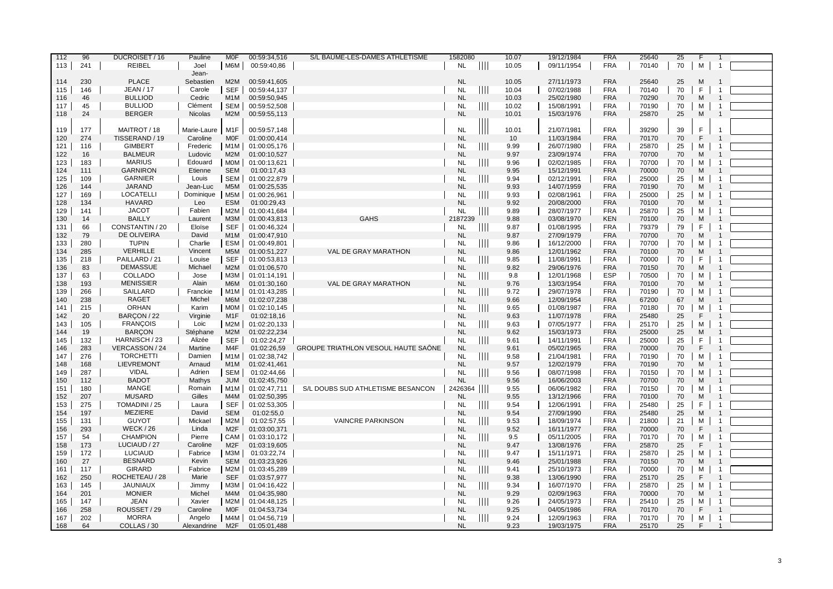| 112 | 96  | DUCROISET / 16    | Pauline        | <b>MOF</b>       | 00:59:34,516 | S/L BAUME-LES-DAMES ATHLETISME      | 1582080   |                                  | 10.07 | 19/12/1984 | <b>FRA</b> | 25640 | 25 | F            |                |  |
|-----|-----|-------------------|----------------|------------------|--------------|-------------------------------------|-----------|----------------------------------|-------|------------|------------|-------|----|--------------|----------------|--|
| 113 | 241 | <b>REIBEL</b>     | Joel           | M6M              | 00:59:40,86  |                                     | <b>NL</b> | $\mathbf{\mathbf{\mathsf{III}}}$ | 10.05 | 09/11/1954 | <b>FRA</b> | 70140 | 70 | м            | $\overline{1}$ |  |
|     |     |                   | Jean-          |                  |              |                                     |           |                                  |       |            |            |       |    |              |                |  |
| 114 | 230 | <b>PLACE</b>      | Sebastien      | M2M              | 00:59:41,605 |                                     | <b>NL</b> |                                  | 10.05 | 27/11/1973 | <b>FRA</b> | 25640 | 25 | M            |                |  |
| 115 | 146 | <b>JEAN / 17</b>  | Carole         | <b>SEF</b>       | 00:59:44,137 |                                     | <b>NL</b> | $\parallel \parallel \parallel$  | 10.04 | 07/02/1988 | <b>FRA</b> | 70140 | 70 | F            | $\overline{1}$ |  |
| 116 | 46  | <b>BULLIOD</b>    | Cedric         | M <sub>1</sub> M | 00:59:50,945 |                                     | <b>NL</b> |                                  | 10.03 | 25/02/1980 | <b>FRA</b> | 70290 | 70 | M            | $\overline{1}$ |  |
| 117 | 45  | <b>BULLIOD</b>    | Clément        | SEM              | 00:59:52,508 |                                     | <b>NL</b> | $\parallel \parallel \parallel$  | 10.02 | 15/08/1991 | <b>FRA</b> | 70190 | 70 | м            | $\overline{1}$ |  |
| 118 | 24  | <b>BERGER</b>     | <b>Nicolas</b> | M2M              | 00:59:55,113 |                                     | <b>NL</b> |                                  | 10.01 | 15/03/1976 | <b>FRA</b> | 25870 | 25 | M            | $\overline{1}$ |  |
|     |     |                   |                |                  |              |                                     |           |                                  |       |            |            |       |    |              |                |  |
| 119 |     | MAITROT / 18      |                |                  |              |                                     |           |                                  |       |            | <b>FRA</b> |       |    | F.           |                |  |
|     | 177 |                   | Marie-Laure    | M <sub>1</sub> F | 00:59:57,148 |                                     | <b>NL</b> |                                  | 10.01 | 21/07/1981 |            | 39290 | 39 | F            |                |  |
| 120 | 274 | TISSERAND / 19    | Caroline       | <b>MOF</b>       | 01:00:00,414 |                                     | <b>NL</b> |                                  | 10    | 11/03/1984 | <b>FRA</b> | 70170 | 70 |              | $\mathbf 1$    |  |
| 121 | 116 | <b>GIMBERT</b>    | Frederic       | M1M              | 01:00:05,176 |                                     | <b>NL</b> | $\parallel \parallel \parallel$  | 9.99  | 26/07/1980 | <b>FRA</b> | 25870 | 25 | м            |                |  |
| 122 | 16  | <b>BALMEUR</b>    | Ludovic        | M2M              | 01:00:10,527 |                                     | <b>NL</b> |                                  | 9.97  | 23/09/1974 | <b>FRA</b> | 70700 | 70 | M            |                |  |
| 123 | 183 | <b>MARIUS</b>     | Edouard        | MOM              | 01:00:13,621 |                                     | <b>NL</b> | Ш                                | 9.96  | 02/02/1985 | <b>FRA</b> | 70700 | 70 | м            | $\overline{1}$ |  |
| 124 | 111 | <b>GARNIRON</b>   | Etienne        | <b>SEM</b>       | 01:00:17,43  |                                     | <b>NL</b> |                                  | 9.95  | 15/12/1991 | <b>FRA</b> | 70000 | 70 | M            |                |  |
| 125 | 109 | <b>GARNIER</b>    | Louis          | SEM              | 01:00:22,879 |                                     | <b>NL</b> | $\parallel \parallel \parallel$  | 9.94  | 02/12/1991 | <b>FRA</b> | 25000 | 25 | м            | $\overline{1}$ |  |
| 126 | 144 | <b>JARAND</b>     | Jean-Luc       | M <sub>5</sub> M | 01:00:25,535 |                                     | <b>NL</b> |                                  | 9.93  | 14/07/1959 | <b>FRA</b> | 70190 | 70 | M            |                |  |
| 127 | 169 | <b>LOCATELLI</b>  | Dominique      | M5M              | 01:00:26,961 |                                     | <b>NL</b> | Ш                                | 9.93  | 02/08/1961 | <b>FRA</b> | 25000 | 25 | м            | $\overline{1}$ |  |
| 128 | 134 | <b>HAVARD</b>     | Leo            | <b>ESM</b>       | 01:00:29,43  |                                     | <b>NL</b> |                                  | 9.92  | 20/08/2000 | <b>FRA</b> | 70100 | 70 | M            |                |  |
| 129 | 141 | <b>JACOT</b>      | Fabien         | M2M              | 01:00:41,684 |                                     | <b>NL</b> | $\parallel \parallel \parallel$  | 9.89  | 28/07/1977 | <b>FRA</b> | 25870 | 25 | м            |                |  |
| 130 | 14  | <b>BAILLY</b>     | Laurent        | МЗМ              | 01:00:43,813 | <b>GAHS</b>                         | 2187239   |                                  | 9.88  | 03/08/1970 | <b>KEN</b> | 70100 | 70 | M            |                |  |
| 131 | 66  | CONSTANTIN / 20   | Eloïse         | <b>SEF</b>       | 01:00:46,324 |                                     | <b>NL</b> | $\parallel \parallel \parallel$  | 9.87  | 01/08/1995 | <b>FRA</b> | 79379 | 79 | F            |                |  |
| 132 | 79  | DE OLIVEIRA       | David          | M <sub>1</sub> M | 01:00:47,910 |                                     | <b>NL</b> |                                  | 9.87  | 27/09/1979 | <b>FRA</b> | 70700 | 70 | M            |                |  |
| 133 | 280 | <b>TUPIN</b>      | Charlie        | <b>ESM</b>       | 01:00:49,801 |                                     | <b>NL</b> | $\mathbf{III}$                   | 9.86  | 16/12/2000 | <b>FRA</b> | 70700 | 70 | м            |                |  |
| 134 | 285 | <b>VERHILLE</b>   | Vincent        | M <sub>5</sub> M | 01:00:51,227 | VAL DE GRAY MARATHON                | <b>NL</b> |                                  | 9.86  | 12/01/1962 | <b>FRA</b> | 70100 | 70 | M            |                |  |
|     |     |                   |                |                  |              |                                     |           |                                  |       |            |            |       |    |              | $\overline{1}$ |  |
| 135 | 218 | PAILLARD / 21     | Louise         | <b>SEF</b>       | 01:00:53,813 |                                     | <b>NL</b> | $\parallel \parallel \parallel$  | 9.85  | 11/08/1991 | <b>FRA</b> | 70000 | 70 | F            |                |  |
| 136 | 83  | <b>DEMASSUE</b>   | Michael        | M2M              | 01:01:06,570 |                                     | <b>NL</b> |                                  | 9.82  | 29/06/1976 | <b>FRA</b> | 70150 | 70 | M            |                |  |
| 137 | 63  | COLLADO           | Jose           | МЗМ              | 01:01:14,191 |                                     | <b>NL</b> | Ш                                | 9.8   | 12/01/1968 | <b>ESP</b> | 70500 | 70 | м            |                |  |
| 138 | 193 | <b>MENISSIER</b>  | Alain          | M6M              | 01:01:30,160 | <b>VAL DE GRAY MARATHON</b>         | <b>NL</b> |                                  | 9.76  | 13/03/1954 | <b>FRA</b> | 70100 | 70 | M            |                |  |
| 139 | 266 | SAILLARD          | Franckie       | M1M              | 01:01:43,285 |                                     | <b>NL</b> | Ш                                | 9.72  | 29/07/1978 | <b>FRA</b> | 70190 | 70 | м            | $\overline{1}$ |  |
| 140 | 238 | <b>RAGET</b>      | Michel         | M6M              | 01:02:07,238 |                                     | <b>NL</b> |                                  | 9.66  | 12/09/1954 | <b>FRA</b> | 67200 | 67 | M            |                |  |
| 141 | 215 | <b>ORHAN</b>      | Karim          | MOM              | 01:02:10,145 |                                     | <b>NL</b> | Ш                                | 9.65  | 01/08/1987 | <b>FRA</b> | 70180 | 70 | м            |                |  |
| 142 | 20  | BARÇON / 22       | Virginie       | M <sub>1</sub> F | 01:02:18,16  |                                     | <b>NL</b> |                                  | 9.63  | 11/07/1978 | <b>FRA</b> | 25480 | 25 | F            | $\overline{1}$ |  |
| 143 | 105 | <b>FRANÇOIS</b>   | Loic           | M2M              | 01:02:20,133 |                                     | <b>NL</b> | $\blacksquare$                   | 9.63  | 07/05/1977 | <b>FRA</b> | 25170 | 25 | м            | $\overline{1}$ |  |
| 144 | 19  | <b>BARCON</b>     | Stéphane       | M2M              | 01:02:22,234 |                                     | <b>NL</b> |                                  | 9.62  | 15/03/1973 | <b>FRA</b> | 25000 | 25 | M            |                |  |
| 145 | 132 | HARNISCH / 23     | Alizée         | <b>SEF</b>       | 01:02:24,27  |                                     | <b>NL</b> | $\parallel$                      | 9.61  | 14/11/1991 | <b>FRA</b> | 25000 | 25 | F            | $\mathbf{1}$   |  |
| 146 | 283 | VERCASSON / 24    | Martine        | M <sub>4</sub> F | 01:02:26.59  | GROUPE TRIATHLON VESOUL HAUTE SAONE | <b>NL</b> |                                  | 9.61  | 05/02/1965 | <b>FRA</b> | 70000 | 70 | F            | $\overline{1}$ |  |
| 147 | 276 | <b>TORCHETTI</b>  | Damien         | M1M              | 01:02:38,742 |                                     | <b>NL</b> | $\mathbb{H}$                     | 9.58  | 21/04/1981 | <b>FRA</b> | 70190 | 70 | м            | $\overline{1}$ |  |
| 148 | 168 | <b>LIEVREMONT</b> | Arnaud         | M <sub>1</sub> M | 01:02:41,461 |                                     | <b>NL</b> |                                  | 9.57  | 12/02/1979 | <b>FRA</b> | 70190 | 70 | M            |                |  |
| 149 | 287 | <b>VIDAL</b>      | Adrien         | SEM              | 01:02:44,66  |                                     | <b>NL</b> | III.                             | 9.56  | 08/07/1998 | <b>FRA</b> | 70150 | 70 | м            | $\overline{1}$ |  |
| 150 | 112 | <b>BADOT</b>      | Mathys         | <b>JUM</b>       | 01:02:45,750 |                                     | <b>NL</b> |                                  | 9.56  | 16/06/2003 | <b>FRA</b> | 70700 | 70 | M            |                |  |
| 151 | 180 | <b>MANGE</b>      | Romain         | M1M              | 01:02:47,711 | S/L DOUBS SUD ATHLETISME BESANCON   | 2426364   | $\mathbb{H}$                     | 9.55  | 06/06/1982 | <b>FRA</b> | 70150 | 70 | м            | $\overline{1}$ |  |
| 152 | 207 | <b>MUSARD</b>     | Gilles         | M4M              | 01:02:50,395 |                                     | <b>NL</b> |                                  | 9.55  | 13/12/1966 | <b>FRA</b> | 70100 | 70 | M            |                |  |
|     | 275 | TOMADINI / 25     |                |                  |              |                                     |           |                                  |       |            | <b>FRA</b> |       |    | F            |                |  |
| 153 |     |                   | Laura          | <b>SEF</b>       | 01:02:53,305 |                                     | <b>NL</b> | ║║║                              | 9.54  | 12/06/1991 |            | 25480 | 25 |              |                |  |
| 154 | 197 | <b>MEZIERE</b>    | David          | <b>SEM</b>       | 01:02:55,0   |                                     | <b>NL</b> |                                  | 9.54  | 27/09/1990 | <b>FRA</b> | 25480 | 25 | M            |                |  |
| 155 | 131 | <b>GUYOT</b>      | Mickael        | M2M              | 01:02:57,55  | <b>VAINCRE PARKINSON</b>            | <b>NL</b> | Ш                                | 9.53  | 18/09/1974 | <b>FRA</b> | 21800 | 21 | м            | $\overline{1}$ |  |
| 156 | 293 | <b>WECK / 26</b>  | Linda          | M <sub>2</sub> F | 01:03:00,371 |                                     | <b>NL</b> |                                  | 9.52  | 16/11/1977 | <b>FRA</b> | 70000 | 70 | $\mathsf{F}$ |                |  |
| 157 | 54  | <b>CHAMPION</b>   | Pierre         | CAM              | 01:03:10,172 |                                     | <b>NL</b> | Ш                                | 9.5   | 05/11/2005 | <b>FRA</b> | 70170 | 70 | M            |                |  |
| 158 | 173 | LUCIAUD / 27      | Caroline       | M <sub>2</sub> F | 01:03:19,605 |                                     | <b>NL</b> |                                  | 9.47  | 13/08/1976 | <b>FRA</b> | 25870 | 25 | F            |                |  |
| 159 | 172 | LUCIAUD           | Fabrice        | МЗМ              | 01:03:22,74  |                                     | <b>NL</b> | Ш                                | 9.47  | 15/11/1971 | <b>FRA</b> | 25870 | 25 | М            |                |  |
| 160 | 27  | <b>BESNARD</b>    | Kevin          | <b>SEM</b>       | 01:03:23,926 |                                     | <b>NL</b> |                                  | 9.46  | 25/01/1988 | <b>FRA</b> | 70150 | 70 | M            |                |  |
| 161 | 117 | <b>GIRARD</b>     | Fabrice        | M2M              | 01:03:45,289 |                                     | <b>NL</b> | Ш                                | 9.41  | 25/10/1973 | <b>FRA</b> | 70000 | 70 | м            |                |  |
| 162 | 250 | ROCHETEAU / 28    | Marie          | <b>SEF</b>       | 01:03:57,977 |                                     | <b>NL</b> |                                  | 9.38  | 13/06/1990 | <b>FRA</b> | 25170 | 25 | F            |                |  |
| 163 | 145 | <b>JAUNIAUX</b>   | Jimmy          | МЗМ              | 01:04:16,422 |                                     | <b>NL</b> | Ш                                | 9.34  | 16/07/1970 | <b>FRA</b> | 25870 | 25 | м            | $\mathbf{1}$   |  |
| 164 | 201 | <b>MONIER</b>     | Michel         | M4M              | 01:04:35,980 |                                     | <b>NL</b> |                                  | 9.29  | 02/09/1963 | <b>FRA</b> | 70000 | 70 | M            |                |  |
| 165 | 147 | <b>JEAN</b>       | Xavier         | M2M              | 01:04:48,125 |                                     | <b>NL</b> | $\mathop{\rm III}$               | 9.26  | 24/05/1973 | <b>FRA</b> | 25410 | 25 | м            | $\overline{1}$ |  |
| 166 | 258 | ROUSSET / 29      | Caroline       | <b>MOF</b>       | 01:04:53,734 |                                     | <b>NL</b> |                                  | 9.25  | 04/05/1986 | <b>FRA</b> | 70170 | 70 | F            |                |  |
| 167 | 202 | <b>MORRA</b>      | Angelo         | M4M              | 01:04:56,719 |                                     | <b>NL</b> | $\mathop{\rm III}\nolimits$      | 9.24  | 12/09/1963 | <b>FRA</b> | 70170 | 70 | М            | $\overline{1}$ |  |
| 168 | 64  | COLLAS / 30       | Alexandrine    | M <sub>2</sub> F | 01:05:01,488 |                                     | <b>NL</b> |                                  | 9.23  | 19/03/1975 | <b>FRA</b> | 25170 | 25 | F            |                |  |
|     |     |                   |                |                  |              |                                     |           |                                  |       |            |            |       |    |              |                |  |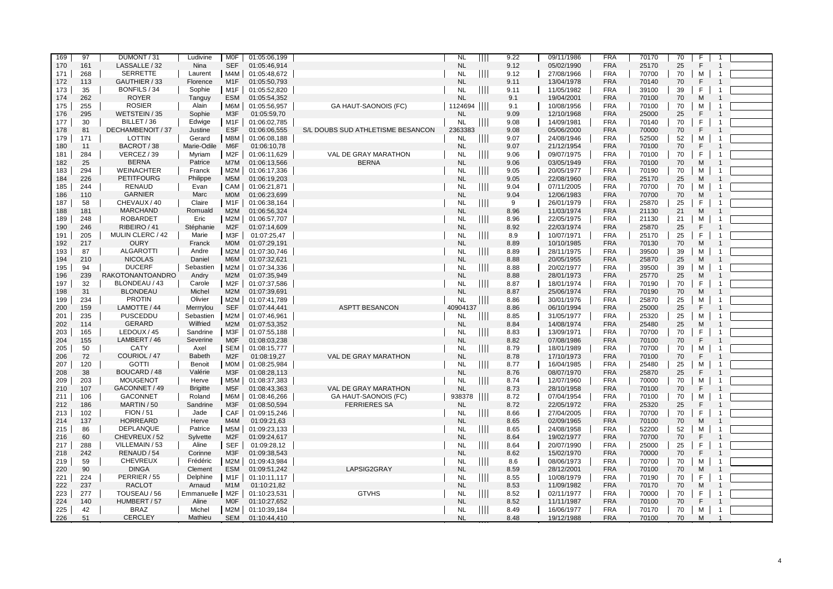| 169 | 97  | DUMONT / 31       | Ludivine        | MOF              | 01:05:06,199 |                                   | <b>NL</b> | Ш             | 9.22 | 09/11/1986 | <b>FRA</b> | 70170 | 70 | F            |                         |  |
|-----|-----|-------------------|-----------------|------------------|--------------|-----------------------------------|-----------|---------------|------|------------|------------|-------|----|--------------|-------------------------|--|
| 170 | 161 | LASSALLE / 32     | Nina            | <b>SEF</b>       | 01:05:46,914 |                                   | <b>NL</b> |               | 9.12 | 05/02/1990 | <b>FRA</b> | 25170 | 25 | F            | $\overline{1}$          |  |
| 171 | 268 | <b>SERRETTE</b>   | Laurent         | M4M              | 01:05:48,672 |                                   | <b>NL</b> | ШI            | 9.12 | 27/08/1966 | <b>FRA</b> | 70700 | 70 | м            | $\overline{1}$          |  |
| 172 | 113 | GAUTHIER / 33     | Florence        | M <sub>1</sub> F | 01:05:50,793 |                                   | <b>NL</b> |               | 9.11 | 13/04/1978 | <b>FRA</b> | 70140 | 70 | F            |                         |  |
|     |     |                   |                 |                  |              |                                   |           |               |      |            |            |       |    | F            | $\overline{1}$          |  |
| 173 | 35  | BONFILS / 34      | Sophie          | M1F              | 01:05:52,820 |                                   | <b>NL</b> | $\mathbf{H}$  | 9.11 | 11/05/1982 | <b>FRA</b> | 39100 | 39 |              |                         |  |
| 174 | 262 | <b>ROYER</b>      | Tanguy          | <b>ESM</b>       | 01:05:54,352 |                                   | <b>NL</b> |               | 9.1  | 19/04/2001 | <b>FRA</b> | 70100 | 70 | M            |                         |  |
| 175 | 255 | <b>ROSIER</b>     | Alain           | M6M              | 01:05:56,957 | GA HAUT-SAONOIS (FC)              | 1124694   |               | 9.1  | 10/08/1956 | <b>FRA</b> | 70100 | 70 | М            | -1                      |  |
| 176 | 295 | WETSTEIN / 35     | Sophie          | M3F              | 01:05:59,70  |                                   | <b>NL</b> |               | 9.09 | 12/10/1968 | <b>FRA</b> | 25000 | 25 | $\mathsf{F}$ |                         |  |
| 177 | 30  | BILLET / 36       | Edwige          | M1F              | 01:06:02,785 |                                   | <b>NL</b> |               | 9.08 | 14/09/1981 | <b>FRA</b> | 70140 | 70 | F            |                         |  |
| 178 | 81  | DECHAMBENOIT / 37 | Justine         | <b>ESF</b>       | 01:06:06,555 | S/L DOUBS SUD ATHLETISME BESANCON | 2363383   |               | 9.08 | 05/06/2000 | <b>FRA</b> | 70000 | 70 | E            |                         |  |
| 179 | 171 | LOTTIN            | Gerard          | M8M              | 01:06:08,188 |                                   | NL        | $\mathbf{  }$ | 9.07 | 24/08/1946 | <b>FRA</b> | 52500 | 52 | м            | $\mathbf{1}$            |  |
| 180 | 11  | BACROT / 38       | Marie-Odile     | M <sub>6</sub> F | 01:06:10.78  |                                   | <b>NL</b> |               | 9.07 | 21/12/1954 | <b>FRA</b> | 70100 | 70 | F            | $\overline{1}$          |  |
| 181 | 284 | VERCEZ / 39       | Myriam          | M2F              | 01:06:11,629 | VAL DE GRAY MARATHON              | <b>NL</b> | $\mathbf{H}$  | 9.06 | 09/07/1975 | <b>FRA</b> | 70100 | 70 | F            | $\overline{1}$          |  |
| 182 | 25  | <b>BERNA</b>      | Patrice         | M7M              | 01:06:13,566 | <b>BERNA</b>                      | <b>NL</b> |               | 9.06 | 03/05/1949 | <b>FRA</b> | 70100 | 70 | M            |                         |  |
| 183 | 294 | <b>WEINACHTER</b> | Franck          | M2M              | 01:06:17,336 |                                   | <b>NL</b> | Ш             | 9.05 | 20/05/1977 | <b>FRA</b> | 70190 | 70 | м            | $\mathbf{1}$            |  |
| 184 | 226 | <b>PETITFOURG</b> | Philippe        | M <sub>5</sub> M | 01:06:19,203 |                                   | <b>NL</b> |               | 9.05 | 22/08/1960 | <b>FRA</b> | 25170 | 25 | M            | $\overline{1}$          |  |
| 185 | 244 | <b>RENAUD</b>     | Evan            | CAM              | 01:06:21,871 |                                   | <b>NL</b> | Ш             | 9.04 | 07/11/2005 | <b>FRA</b> | 70700 | 70 | М            | -1                      |  |
| 186 | 110 | <b>GARNIER</b>    | Marc            | <b>MOM</b>       | 01:06:23,699 |                                   | <b>NL</b> |               | 9.04 | 12/06/1983 | <b>FRA</b> | 70700 | 70 | M            |                         |  |
| 187 | 58  | CHEVAUX / 40      | Claire          | M <sub>1</sub> F | 01:06:38,164 |                                   | <b>NL</b> | $\mathbb{H}$  | 9    | 26/01/1979 | <b>FRA</b> | 25870 | 25 | F            | $\overline{1}$          |  |
| 188 | 181 | <b>MARCHAND</b>   | Romuald         | M2M              | 01:06:56,324 |                                   | <b>NL</b> |               | 8.96 | 11/03/1974 | <b>FRA</b> | 21130 | 21 | M            |                         |  |
| 189 | 248 | <b>ROBARDET</b>   | Eric            | M2M              | 01:06:57,707 |                                   | NL        | 111           | 8.96 | 22/05/1975 | <b>FRA</b> | 21130 | 21 | M            |                         |  |
| 190 | 246 | RIBEIRO / 41      | Stéphanie       | M <sub>2</sub> F | 01:07:14,609 |                                   | <b>NL</b> |               | 8.92 | 22/03/1974 | <b>FRA</b> | 25870 | 25 | F            |                         |  |
| 191 | 205 | MULIN CLERC / 42  | Marie           | M3F              | 01:07:25,47  |                                   | <b>NL</b> | $\mathbb{H}$  | 8.9  | 10/07/1971 | <b>FRA</b> | 25170 | 25 | F            | $\overline{1}$          |  |
| 192 | 217 | <b>OURY</b>       | Franck          | <b>MOM</b>       | 01:07:29,191 |                                   | <b>NL</b> |               | 8.89 | 10/10/1985 | <b>FRA</b> | 70130 | 70 | M            |                         |  |
| 193 | 87  | <b>ALGAROTTI</b>  | Andre           | M2M              | 01:07:30,746 |                                   | <b>NL</b> |               | 8.89 | 28/11/1975 | <b>FRA</b> | 39500 | 39 | м            | $\overline{1}$          |  |
| 194 | 210 | <b>NICOLAS</b>    | Daniel          | M6M              | 01:07:32,621 |                                   | <b>NL</b> |               | 8.88 | 20/05/1955 | <b>FRA</b> | 25870 | 25 | M            | $\overline{1}$          |  |
| 195 | 94  | <b>DUCERF</b>     | Sebastien       | M2M              | 01:07:34,336 |                                   | <b>NL</b> |               | 8.88 | 20/02/1977 | <b>FRA</b> | 39500 | 39 | м            | $\overline{1}$          |  |
| 196 | 239 | RAKOTONANTOANDRO  | Andry           | M2M              | 01:07:35,949 |                                   | <b>NL</b> |               | 8.88 | 28/01/1973 | <b>FRA</b> | 25770 | 25 | M            |                         |  |
| 197 | 32  | BLONDEAU / 43     | Carole          | M2F              | 01:07:37,586 |                                   | <b>NL</b> | $\mathbb{H}$  | 8.87 | 18/01/1974 | <b>FRA</b> | 70190 | 70 | F            | -1                      |  |
| 198 | 31  | <b>BLONDEAU</b>   | Michel          | M2M              | 01:07:39,691 |                                   | <b>NL</b> |               | 8.87 | 25/06/1974 | <b>FRA</b> | 70190 | 70 | M            | $\overline{1}$          |  |
| 199 | 234 | <b>PROTIN</b>     | Olivier         | M2M              | 01:07:41,789 |                                   | <b>NL</b> | $\mathbf{H}$  | 8.86 | 30/01/1976 | <b>FRA</b> | 25870 | 25 | м            | $\overline{1}$          |  |
| 200 | 159 | LAMOTTE / 44      | Merrrylou       | <b>SEF</b>       | 01:07:44,441 | <b>ASPTT BESANCON</b>             | 40904137  |               | 8.86 | 06/10/1994 | <b>FRA</b> | 25000 | 25 | F            |                         |  |
| 201 | 235 | PUSCEDDU          | Sebastien       | M2M              | 01:07:46,961 |                                   | <b>NL</b> | Ш             | 8.85 | 31/05/1977 | <b>FRA</b> | 25320 | 25 | М            | $\mathbf{1}$            |  |
| 202 | 114 | GERARD            | Wilfried        | M2M              | 01:07:53,352 |                                   | <b>NL</b> |               | 8.84 | 14/08/1974 | <b>FRA</b> | 25480 | 25 | M            |                         |  |
| 203 | 165 | LEDOUX / 45       | Sandrine        | M3F              | 01:07:55,188 |                                   | <b>NL</b> | Ш             | 8.83 | 13/09/1971 | <b>FRA</b> | 70700 | 70 | F            |                         |  |
| 204 | 155 | LAMBERT / 46      | Severine        | <b>MOF</b>       | 01:08:03,238 |                                   | <b>NL</b> |               | 8.82 | 07/08/1986 | <b>FRA</b> | 70100 | 70 | F            |                         |  |
| 205 | 50  | <b>CATY</b>       | Axel            | SEM              | 01:08:15,777 |                                   | <b>NL</b> | Ш             | 8.79 | 18/01/1989 | <b>FRA</b> | 70700 | 70 | М            | $\overline{1}$          |  |
| 206 | 72  | COURIOL / 47      | <b>Babeth</b>   | M <sub>2</sub> F | 01:08:19,27  | VAL DE GRAY MARATHON              | <b>NL</b> |               | 8.78 | 17/10/1973 | <b>FRA</b> | 70100 | 70 | F            |                         |  |
| 207 | 120 | <b>GOTTI</b>      | Benoit          | MOM              | 01:08:25,984 |                                   | <b>NL</b> | 111           | 8.77 | 16/04/1985 | <b>FRA</b> | 25480 | 25 | М            | $\mathbf{1}$            |  |
| 208 | 38  | BOUCARD / 48      | Valérie         | M <sub>3</sub> F | 01:08:28,113 |                                   | <b>NL</b> |               | 8.76 | 08/07/1970 | <b>FRA</b> | 25870 | 25 | F            |                         |  |
| 209 | 203 | <b>MOUGENOT</b>   | Herve           | M5M              | 01:08:37,383 |                                   | <b>NL</b> |               | 8.74 | 12/07/1960 | <b>FRA</b> | 70000 | 70 | M            |                         |  |
| 210 | 107 | GACONNET / 49     | <b>Brigitte</b> | M <sub>5</sub> F | 01:08:43,363 | VAL DE GRAY MARATHON              | <b>NL</b> |               | 8.73 | 28/10/1958 | <b>FRA</b> | 70100 | 70 | E            |                         |  |
| 211 | 106 | <b>GACONNET</b>   | Roland          | M6M              | 01:08:46,266 | GA HAUT-SAONOIS (FC)              | 938378    | $\mathbf{H}$  | 8.72 | 07/04/1954 | <b>FRA</b> | 70100 | 70 | M            |                         |  |
| 212 | 186 | MARTIN / 50       | Sandrine        | M <sub>3</sub> F | 01:08:50,594 | <b>FERRIERES SA</b>               | <b>NL</b> |               | 8.72 | 22/05/1972 | <b>FRA</b> | 25320 | 25 | F            | $\overline{1}$          |  |
| 213 | 102 | <b>FION / 51</b>  | Jade            | CAF              | 01:09:15,246 |                                   | <b>NL</b> |               | 8.66 | 27/04/2005 | <b>FRA</b> | 70700 | 70 | F            | $\overline{1}$          |  |
| 214 | 137 | HORREARD          | Herve           | M <sub>4</sub> M | 01:09:21.63  |                                   | <b>NL</b> |               | 8.65 | 02/09/1965 | <b>FRA</b> | 70100 | 70 | M            |                         |  |
| 215 | 86  | DEPLANQUE         | Patrice         | M5M              | 01:09:23,133 |                                   | <b>NL</b> | 111           | 8.65 | 24/08/1958 | <b>FRA</b> | 52200 | 52 | M            | $\overline{\mathbf{1}}$ |  |
| 216 | 60  | CHEVREUX / 52     | Sylvette        | M <sub>2</sub> F | 01:09:24,617 |                                   | <b>NL</b> |               | 8.64 | 19/02/1977 | <b>FRA</b> | 70700 | 70 | F            |                         |  |
| 217 | 288 | VILLEMAIN / 53    | Aline           | <b>SEF</b>       | 01:09:28,12  |                                   | <b>NL</b> | $\mathbb{H}$  | 8.64 | 20/07/1990 | <b>FRA</b> | 25000 | 25 | F            |                         |  |
| 218 | 242 | RENAUD / 54       | Corinne         | M <sub>3</sub> F | 01:09:38,543 |                                   | <b>NL</b> |               | 8.62 | 15/02/1970 | <b>FRA</b> | 70000 | 70 | F            |                         |  |
| 219 | 59  | <b>CHEVREUX</b>   | Frédéric        | M2M              | 01:09:43,984 |                                   | <b>NL</b> | $\mathbb{H}$  | 8.6  | 08/06/1973 | <b>FRA</b> | 70700 | 70 | M            | $\mathbf{1}$            |  |
| 220 | 90  | <b>DINGA</b>      | Clement         | ESM              | 01:09:51,242 | LAPSIG2GRAY                       | <b>NL</b> |               | 8.59 | 28/12/2001 | <b>FRA</b> | 70100 | 70 | M            | $\overline{1}$          |  |
| 221 | 224 | PERRIER / 55      | Delphine        | M1F              | 01:10:11,117 |                                   | <b>NL</b> | Ш             | 8.55 | 10/08/1979 | <b>FRA</b> | 70190 | 70 | F            | $\overline{1}$          |  |
| 222 | 237 | <b>RACLOT</b>     | Arnaud          | M <sub>1</sub> M | 01:10:21,82  |                                   | <b>NL</b> |               | 8.53 | 11/09/1982 | <b>FRA</b> | 70170 | 70 | M            | $\overline{1}$          |  |
| 223 | 277 | TOUSEAU / 56      | Emmanuelle      | M2F              | 01:10:23,531 | <b>GTVHS</b>                      | <b>NL</b> | $\mathbb{H}$  | 8.52 | 02/11/1977 | <b>FRA</b> | 70000 | 70 | F            | $\overline{1}$          |  |
| 224 | 140 | HUMBERT / 57      | Aline           | <b>MOF</b>       | 01:10:27,652 |                                   | <b>NL</b> |               | 8.52 | 11/11/1987 | <b>FRA</b> | 70100 | 70 | F            |                         |  |
| 225 | 42  | <b>BRAZ</b>       | Michel          | M2M              | 01:10:39,184 |                                   | <b>NL</b> | $\mathbb{H}$  | 8.49 | 16/06/1977 | <b>FRA</b> | 70170 | 70 | м            | $\overline{1}$          |  |
| 226 | 51  | <b>CERCLEY</b>    | Mathieu         | <b>SEM</b>       | 01:10:44,410 |                                   | <b>NL</b> |               | 8.48 | 19/12/1988 | <b>FRA</b> | 70100 | 70 | M            |                         |  |
|     |     |                   |                 |                  |              |                                   |           |               |      |            |            |       |    |              |                         |  |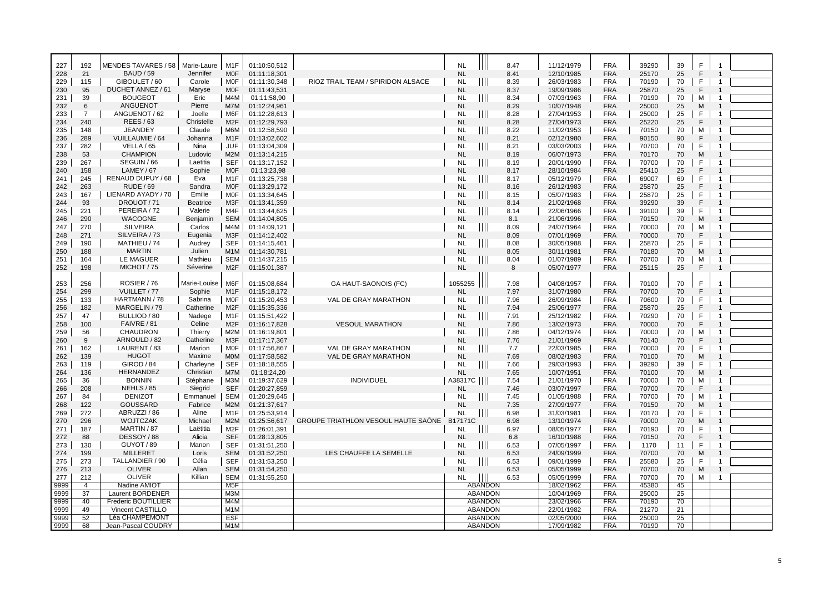| 227        | 192            | MENDES TAVARES / 58   Marie-Laure |                     | M1F                            | 01:10:50,512                 |                                     | <b>NL</b>              | 8.47                                    | 11/12/1979               | <b>FRA</b>               | 39290          | 39       | F            |                                  |  |
|------------|----------------|-----------------------------------|---------------------|--------------------------------|------------------------------|-------------------------------------|------------------------|-----------------------------------------|--------------------------|--------------------------|----------------|----------|--------------|----------------------------------|--|
| 228        | 21             | <b>BAUD / 59</b>                  | Jennifer            | <b>MOF</b>                     | 01:11:18.301                 |                                     | <b>NL</b>              | 8.41                                    | 12/10/1985               | <b>FRA</b>               | 25170          | 25       | E            | $\overline{1}$                   |  |
| 229        | 115            | GIBOULET / 60                     | Carole              | <b>MOF</b>                     | 01:11:30,348                 | RIOZ TRAIL TEAM / SPIRIDON ALSACE   | <b>NL</b>              | Ш<br>8.39                               | 26/03/1983               | <b>FRA</b>               | 70190          | 70       | F            | $\overline{1}$                   |  |
| 230        | 95             | DUCHET ANNEZ / 61                 | Marvse              | <b>MOF</b>                     | 01:11:43,531                 |                                     | <b>NL</b>              | 8.37                                    | 19/09/1986               | <b>FRA</b>               | 25870          | 25       | E            |                                  |  |
| 231        | 39             | <b>BOUGEOT</b>                    | Eric                | M4M                            | 01:11:58,90                  |                                     | <b>NL</b>              | $\parallel$<br>8.34                     | 07/03/1963               | <b>FRA</b>               | 70190          | 70       | M            | $\overline{1}$                   |  |
| 232        | 6              | ANGUENOT                          | Pierre              | M7M                            | 01:12:24,961                 |                                     | <b>NL</b>              | 8.29                                    | 10/07/1948               | <b>FRA</b>               | 25000          | 25       | M            |                                  |  |
| 233        | $\overline{7}$ | ANGUENOT / 62                     | Joelle              | M6F                            | 01:12:28,613                 |                                     | <b>NL</b>              | $\parallel$<br>8.28                     | 27/04/1953               | <b>FRA</b>               | 25000          | 25       | F            | $\overline{1}$                   |  |
| 234        | 240            | <b>REES/63</b>                    | Christelle          | M <sub>2</sub> F               | 01:12:29,793                 |                                     | <b>NL</b>              | 8.28                                    | 27/04/1973               | <b>FRA</b>               | 25220          | 25       | $\mathsf{F}$ |                                  |  |
| 235        | 148            | <b>JEANDEY</b>                    | Claude              | M6M                            | 01:12:58,590                 |                                     | <b>NL</b>              | $\parallel$<br>8.22                     | 11/02/1953               | <b>FRA</b>               | 70150          | 70       | M            | $\overline{\mathbf{1}}$          |  |
| 236        | 289            | VUILLAUMIE / 64                   | Johanna             | M <sub>1</sub> F               | 01:13:02,602                 |                                     | <b>NL</b>              | 8.21                                    | 02/12/1980               | <b>FRA</b>               | 90150          | 90       | F            |                                  |  |
| 237        | 282            | VELLA / 65                        | Nina                | JUF                            | 01:13:04,309                 |                                     | <b>NL</b>              | $\parallel$   <br>8.21                  | 03/03/2003               | <b>FRA</b>               | 70700          | 70       | $\mathsf F$  | $\mathbf{1}$                     |  |
| 238        | 53             | <b>CHAMPION</b>                   | Ludovic             | M2M                            | 01:13:14,215                 |                                     | <b>NL</b>              | 8.19                                    | 06/07/1973               | <b>FRA</b>               | 70170          | 70       | M            |                                  |  |
| 239        | 267            | SEGUIN / 66                       | Laetitia            | <b>SEF</b>                     | 01:13:17,152                 |                                     | <b>NL</b>              | $\mathbb{H} \mathbb{H}$<br>8.19         | 20/01/1990               | <b>FRA</b>               | 70700          | 70       | F            | $\overline{1}$                   |  |
| 240        | 158            | LAMEY / 67                        | Sophie              | <b>MOF</b>                     | 01:13:23,98                  |                                     | <b>NL</b>              | 8.17                                    | 28/10/1984               | <b>FRA</b>               | 25410          | 25       | F            |                                  |  |
| 241        | 245            | RENAUD DUPUY / 68                 | Eva                 | M1F                            | 01:13:25,738                 |                                     | <b>NL</b>              | $\parallel \parallel \parallel$<br>8.17 | 05/12/1979               | <b>FRA</b>               | 69007          | 69       | F            | -1                               |  |
| 242        | 263            | <b>RUDE / 69</b>                  | Sandra              | <b>MOF</b>                     | 01:13:29,172                 |                                     | <b>NL</b>              | 8.16                                    | 26/12/1983               | <b>FRA</b>               | 25870          | 25       | F            | $\mathbf{1}$                     |  |
| 243        | 167            | LIENARD AYADY / 70                | Emilie              | <b>MOF</b>                     | 01:13:34,645                 |                                     | <b>NL</b>              | $\mathop{\rm III}\nolimits$<br>8.15     | 05/07/1983               | <b>FRA</b>               | 25870          | 25       | F            | $\overline{\mathbf{1}}$          |  |
| 244        | 93             | DROUOT / 71                       | Beatrice            | M3F                            | 01:13:41,359                 |                                     | <b>NL</b>              | 8.14                                    | 21/02/1968               | <b>FRA</b>               | 39290          | 39       | F            |                                  |  |
| 245        | 221            | PEREIRA / 72                      | Valerie             | M4F                            | 01:13:44,625                 |                                     | <b>NL</b>              | $\mathbf{III}$<br>8.14                  | 22/06/1966               | <b>FRA</b>               | 39100          | 39       | F            | -1                               |  |
| 246        | 290            | <b>WACOGNE</b>                    | Benjamin            | <b>SEM</b>                     | 01:14:04,805                 |                                     | <b>NL</b>              | 8.1                                     | 21/06/1996               | <b>FRA</b>               | 70150          | 70       | M            |                                  |  |
| 247        | 270            | <b>SILVEIRA</b>                   | Carlos              | M4M                            | 01:14:09,121                 |                                     | <b>NL</b>              | 8.09                                    | 24/07/1964               | <b>FRA</b>               |                | 70       | M            | $\overline{1}$                   |  |
|            | 271            | SILVEIRA / 73                     |                     | M <sub>3</sub> F               |                              |                                     | <b>NL</b>              | Ш<br>8.09                               |                          | <b>FRA</b>               | 70000          | 70       | F            |                                  |  |
| 248        |                | MATHIEU / 74                      | Eugenia             |                                | 01:14:12,402                 |                                     |                        | $\parallel$                             | 07/01/1969               |                          | 70000          |          | $\mathsf F$  | $\mathbf{1}$                     |  |
| 249        | 190<br>188     | <b>MARTIN</b>                     | Audrey<br>Julien    | <b>SEF</b><br>M <sub>1</sub> M | 01:14:15,461                 |                                     | <b>NL</b><br><b>NL</b> | 8.08<br>8.05                            | 30/05/1988               | <b>FRA</b><br><b>FRA</b> | 25870          | 25<br>70 | M            | $\overline{1}$                   |  |
| 250        |                | LE MAGUER                         |                     | SEM                            | 01:14:30,781                 |                                     | <b>NL</b>              |                                         | 30/11/1981               | <b>FRA</b>               | 70180          |          |              | $\overline{1}$                   |  |
| 251        | 164            | MICHOT / 75                       | Mathieu<br>Séverine | M <sub>2</sub> F               | 01:14:37,215                 |                                     | <b>NL</b>              | Ш<br>8.04                               | 01/07/1989<br>05/07/1977 | <b>FRA</b>               | 70700<br>25115 | 70<br>25 | М<br>E       | $\overline{1}$                   |  |
| 252        | 198            |                                   |                     |                                | 01:15:01,387                 |                                     |                        | 8                                       |                          |                          |                |          |              |                                  |  |
| 253        | 256            | ROSIER / 76                       | Marie-Louise        | M6F                            | 01:15:08,684                 | GA HAUT-SAONOIS (FC)                | 1055255                | 7.98                                    | 04/08/1957               | <b>FRA</b>               | 70100          | 70       | F            | $\mathbf{1}$                     |  |
| 254        | 299            | VUILLET / 77                      | Sophie              | M <sub>1</sub> F               | 01:15:18,172                 |                                     | <b>NL</b>              | 7.97                                    | 31/07/1980               | <b>FRA</b>               | 70700          | 70       | F            | $\overline{1}$                   |  |
| 255        | 133            | HARTMANN / 78                     | Sabrina             | MOF                            | 01:15:20,453                 | VAL DE GRAY MARATHON                | <b>NL</b>              | Ш<br>7.96                               | 26/09/1984               | <b>FRA</b>               | 70600          | 70       | F            | $\mathbf{1}$                     |  |
| 256        | 182            | MARGELIN / 79                     | Catherine           | M <sub>2</sub> F               | 01:15:35,336                 |                                     | <b>NL</b>              | 7.94                                    | 25/06/1977               | <b>FRA</b>               | 25870          | 25       | F            |                                  |  |
|            | 47             | BULLIOD / 80                      | Nadege              | M1F                            | 01:15:51,422                 |                                     | <b>NL</b>              | $\mathbf{III}$<br>7.91                  | 25/12/1982               | <b>FRA</b>               | 70290          | 70       | F            | $\overline{\mathbf{1}}$          |  |
| 257<br>258 | 100            | FAIVRE / 81                       | Celine              | M <sub>2</sub> F               | 01:16:17,828                 | <b>VESOUL MARATHON</b>              | <b>NL</b>              | 7.86                                    | 13/02/1973               | <b>FRA</b>               | 70000          | 70       | E            | $\overline{1}$                   |  |
| 259        | 56             | CHAUDRON                          | Thierry             | M2M                            | 01:16:19,801                 |                                     | <b>NL</b>              | $\parallel$<br>7.86                     | 04/12/1974               | <b>FRA</b>               | 70000          | 70       | M            | $\overline{1}$                   |  |
| 260        | 9              | ARNOULD / 82                      | Catherine           | M3F                            | 01:17:17,367                 |                                     | <b>NL</b>              | 7.76                                    | 21/01/1969               | <b>FRA</b>               | 70140          | 70       | F            | $\overline{1}$                   |  |
| 261        | 162            | LAURENT / 83                      | Marion              | <b>MOF</b>                     | 01:17:56,867                 | VAL DE GRAY MARATHON                | <b>NL</b>              | Ш<br>7.7                                | 22/03/1985               | <b>FRA</b>               | 70000          | 70       | F            | $\overline{1}$                   |  |
| 262        | 139            | <b>HUGOT</b>                      | Maxime              | <b>MOM</b>                     | 01:17:58,582                 | VAL DE GRAY MARATHON                | <b>NL</b>              | 7.69                                    | 08/02/1983               | <b>FRA</b>               | 70100          | 70       | M            |                                  |  |
| 263        | 119            | GIROD / 84                        | Charleyne           | <b>SEF</b>                     | 01:18:18,555                 |                                     | <b>NL</b>              | Ш<br>7.66                               | 29/03/1993               | <b>FRA</b>               | 39290          | 39       | F            |                                  |  |
| 264        | 136            | <b>HERNANDEZ</b>                  | Christian           | M7M                            | 01:18:24,20                  |                                     | <b>NL</b>              | 7.65                                    | 10/07/1951               | <b>FRA</b>               | 70100          | 70       | M            |                                  |  |
|            | 36             | <b>BONNIN</b>                     | Stéphane            | МЗМ                            | 01:19:37,629                 | <b>INDIVIDUEL</b>                   | A38317C                | 7.54                                    | 21/01/1970               | <b>FRA</b>               | 70000          | 70       | M            | $\mathbf{1}$                     |  |
| 265<br>266 | 208            | NEHLS / 85                        | Siegrid             | <b>SEF</b>                     | 01:20:27,859                 |                                     | <b>NL</b>              | 7.46                                    | 03/07/1997               | <b>FRA</b>               | 70700          | 70       | F            | $\overline{1}$                   |  |
| 267        | 84             | <b>DENIZOT</b>                    | Emmanuel            | <b>SEM</b>                     | 01:20:29,645                 |                                     | <b>NL</b>              | $\parallel \parallel \parallel$<br>7.45 | 01/05/1988               | <b>FRA</b>               | 70700          | 70       | M            | $\overline{1}$                   |  |
| 268        | 122            | <b>GOUSSARD</b>                   | Fabrice             | M2M                            | 01:21:37,617                 |                                     | <b>NL</b>              | 7.35                                    | 27/09/1977               | <b>FRA</b>               |                | 70       | M            | $\overline{1}$                   |  |
|            | 272            | ABRUZZI / 86                      | Aline               | M <sub>1</sub> F               |                              |                                     | <b>NL</b>              |                                         |                          | <b>FRA</b>               | 70150          |          | F            | $\overline{1}$                   |  |
| 269        | 296            | <b>WOJTCZAK</b>                   | Michael             | M2M                            | 01:25:53,914                 |                                     | B17171C                | 6.98                                    | 31/03/1981               | <b>FRA</b>               | 70170          | 70       |              |                                  |  |
| 270<br>271 | 187            | MARTIN / 87                       | Laëtitia            | M <sub>2</sub> F               | 01:25:56.617<br>01:26:01.391 | GROUPE TRIATHLON VESOUL HAUTE SAÖNE | <b>NL</b>              | 6.98<br>6.97                            | 13/10/1974<br>08/05/1977 | <b>FRA</b>               | 70000<br>70190 | 70<br>70 | M<br>F       | -1                               |  |
|            |                |                                   |                     |                                |                              |                                     |                        | $\mathbb{H}$                            |                          | <b>FRA</b>               |                |          | F            |                                  |  |
| 272        | 88             | DESSOY/88                         | Alicia              | <b>SEF</b>                     | 01:28:13,805                 |                                     | <b>NL</b>              | 6.8                                     | 16/10/1988               |                          | 70150          | 70       | F            | $\overline{1}$                   |  |
| 273        | 130            | GUYOT / 89                        | Manon               | <b>SEF</b>                     | 01:31:51,250                 |                                     | <b>NL</b>              | Ш<br>6.53                               | 07/05/1997               | <b>FRA</b>               | 1170           | 11       |              | $\overline{1}$                   |  |
| 274        | 199            | MILLERET                          | Loris               | <b>SEM</b>                     | 01:31:52,250                 | LES CHAUFFE LA SEMELLE              | <b>NL</b>              | 6.53                                    | 24/09/1999               | <b>FRA</b>               | 70700          | 70       | M<br>F       | $\overline{1}$<br>$\overline{1}$ |  |
| 275        | 273            | TALLANDIER / 90                   | Célia               | <b>SEF</b>                     | 01:31:53,250                 |                                     | <b>NL</b>              | Ш<br>6.53                               | 09/01/1999               | <b>FRA</b>               | 25580          | 25       |              |                                  |  |
| 276        | 213            | <b>OLIVER</b>                     | Allan               | <b>SEM</b>                     | 01:31:54,250                 |                                     | <b>NL</b>              | 6.53                                    | 05/05/1999               | <b>FRA</b>               | 70700          | 70       | M            | $\overline{1}$<br>$\overline{1}$ |  |
| 277        | 212            | <b>OLIVER</b>                     | Killian             | <b>SEM</b>                     | 01:31:55,250                 |                                     | <b>NL</b>              | Ш<br>6.53                               | 05/05/1999               | <b>FRA</b>               | 70700          | 70       | М            |                                  |  |
| 9999       | $\overline{4}$ | Nadine AMIOT                      |                     | M <sub>5</sub> F               |                              |                                     |                        | <b>ABANDON</b>                          | 18/02/1962               | <b>FRA</b>               | 45380          | 45       |              |                                  |  |
| 9999       | 37             | Laurent BORDENER                  |                     | M3M                            |                              |                                     |                        | <b>ABANDON</b>                          | 10/04/1969               | <b>FRA</b>               | 25000          | 25       |              |                                  |  |
| 9999       | 40             | Frederic BOUTILLIER               |                     | M4M                            |                              |                                     |                        | <b>ABANDON</b>                          | 23/02/1966               | <b>FRA</b>               | 70190          | 70       |              |                                  |  |
| 9999       | 49             | Vincent CASTILLO                  |                     | M <sub>1</sub> M               |                              |                                     |                        | <b>ABANDON</b>                          | 22/01/1982               | <b>FRA</b>               | 21270          | 21       |              |                                  |  |
| 9999       | 52             | Léa CHAMPEMONT                    |                     | <b>ESF</b>                     |                              |                                     |                        | <b>ABANDON</b>                          | 02/05/2000               | <b>FRA</b>               | 25000          | 25       |              |                                  |  |
| 9999       | 68             | Jean-Pascal COUDRY                |                     | M <sub>1</sub> M               |                              |                                     |                        | <b>ABANDON</b>                          | 17/09/1982               | <b>FRA</b>               | 70190          | 70       |              |                                  |  |